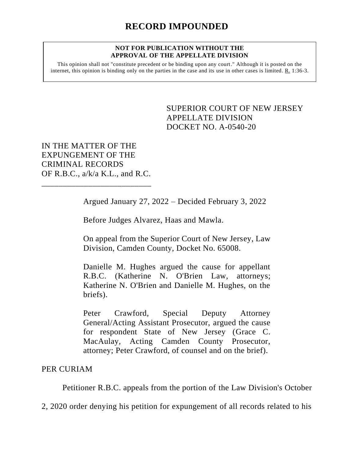## **NOT FOR PUBLICATION WITHOUT THE APPROVAL OF THE APPELLATE DIVISION**

This opinion shall not "constitute precedent or be binding upon any court." Although it is posted on the internet, this opinion is binding only on the parties in the case and its use in other cases is limited. R. 1:36-3.

> <span id="page-0-0"></span>SUPERIOR COURT OF NEW JERSEY APPELLATE DIVISION DOCKET NO. A-0540-20

IN THE MATTER OF THE EXPUNGEMENT OF THE CRIMINAL RECORDS OF R.B.C., a/k/a K.L., and R.C.

\_\_\_\_\_\_\_\_\_\_\_\_\_\_\_\_\_\_\_\_\_\_\_\_\_\_

Argued January 27, 2022 – Decided February 3, 2022

Before Judges Alvarez, Haas and Mawla.

On appeal from the Superior Court of New Jersey, Law Division, Camden County, Docket No. 65008.

Danielle M. Hughes argued the cause for appellant R.B.C. (Katherine N. O'Brien Law, attorneys; Katherine N. O'Brien and Danielle M. Hughes, on the briefs).

Peter Crawford, Special Deputy Attorney General/Acting Assistant Prosecutor, argued the cause for respondent State of New Jersey (Grace C. MacAulay, Acting Camden County Prosecutor, attorney; Peter Crawford, of counsel and on the brief).

## PER CURIAM

Petitioner R.B.C. appeals from the portion of the Law Division's October

2, 2020 order denying his petition for expungement of all records related to his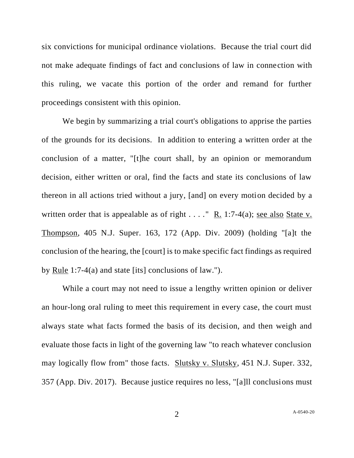six convictions for municipal ordinance violations. Because the trial court did not make adequate findings of fact and conclusions of law in connection with this ruling, we vacate this portion of the order and remand for further proceedings consistent with this opinion.

We begin by summarizing a trial court's obligations to apprise the parties of the grounds for its decisions. In addition to entering a written order at the conclusion of a matter, "[t]he court shall, by an opinion or memorandum decision, either written or oral, find the facts and state its conclusions of law thereon in all actions tried without a jury, [and] on every motion decided by a written order that is appealable as of right  $\dots$ ." R. 1:7-4(a); see also State v. Thompson, 405 N.J. Super. 163, 172 (App. Div. 2009) (holding "[a]t the conclusion of the hearing, the [court] is to make specific fact findings as required by Rule 1:7-4(a) and state [its] conclusions of law.").

While a court may not need to issue a lengthy written opinion or deliver an hour-long oral ruling to meet this requirement in every case, the court must always state what facts formed the basis of its decision, and then weigh and evaluate those facts in light of the governing law "to reach whatever conclusion may logically flow from" those facts. Slutsky v. Slutsky, 451 N.J. Super. 332, 357 (App. Div. 2017). Because justice requires no less, "[a]ll conclusions must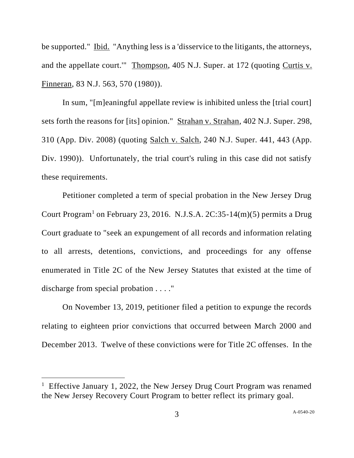be supported." Ibid. "Anything less is a 'disservice to the litigants, the attorneys, and the appellate court.'" Thompson, 405 N.J. Super. at 172 (quoting Curtis v. Finneran, 83 N.J. 563, 570 (1980)).

In sum, "[m]eaningful appellate review is inhibited unless the [trial court] sets forth the reasons for [its] opinion." Strahan v. Strahan, 402 N.J. Super. 298, 310 (App. Div. 2008) (quoting Salch v. Salch, 240 N.J. Super. 441, 443 (App. Div. 1990)). Unfortunately, the trial court's ruling in this case did not satisfy these requirements.

Petitioner completed a term of special probation in the New Jersey Drug Court Program<sup>1</sup> on February 23, 2016. N.J.S.A. 2C:35-14 $(m)(5)$  permits a Drug Court graduate to "seek an expungement of all records and information relating to all arrests, detentions, convictions, and proceedings for any offense enumerated in Title 2C of the New Jersey Statutes that existed at the time of discharge from special probation . . . ."

On November 13, 2019, petitioner filed a petition to expunge the records relating to eighteen prior convictions that occurred between March 2000 and December 2013. Twelve of these convictions were for Title 2C offenses. In the

<sup>&</sup>lt;sup>1</sup> Effective January 1, 2022, the New Jersey Drug Court Program was renamed the New Jersey Recovery Court Program to better reflect its primary goal.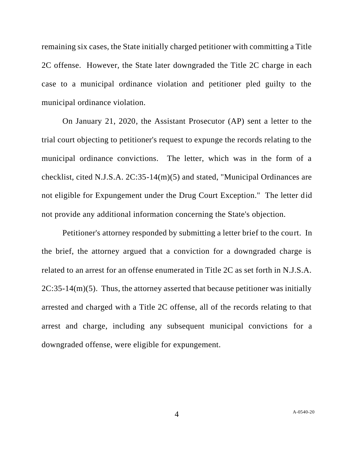remaining six cases, the State initially charged petitioner with committing a Title 2C offense. However, the State later downgraded the Title 2C charge in each case to a municipal ordinance violation and petitioner pled guilty to the municipal ordinance violation.

On January 21, 2020, the Assistant Prosecutor (AP) sent a letter to the trial court objecting to petitioner's request to expunge the records relating to the municipal ordinance convictions. The letter, which was in the form of a checklist, cited N.J.S.A. 2C:35-14(m)(5) and stated, "Municipal Ordinances are not eligible for Expungement under the Drug Court Exception." The letter did not provide any additional information concerning the State's objection.

Petitioner's attorney responded by submitting a letter brief to the court. In the brief, the attorney argued that a conviction for a downgraded charge is related to an arrest for an offense enumerated in Title 2C as set forth in N.J.S.A.  $2C:35-14(m)(5)$ . Thus, the attorney asserted that because petitioner was initially arrested and charged with a Title 2C offense, all of the records relating to that arrest and charge, including any subsequent municipal convictions for a downgraded offense, were eligible for expungement.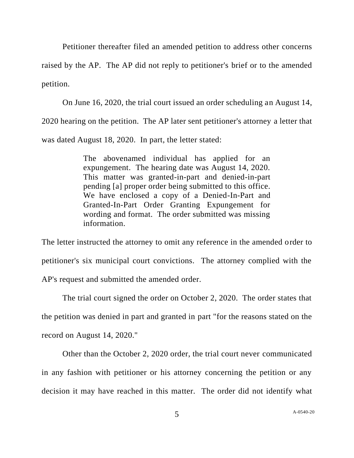Petitioner thereafter filed an amended petition to address other concerns

raised by the AP. The AP did not reply to petitioner's brief or to the amended petition.

On June 16, 2020, the trial court issued an order scheduling an August 14, 2020 hearing on the petition. The AP later sent petitioner's attorney a letter that was dated August 18, 2020. In part, the letter stated:

> The abovenamed individual has applied for an expungement. The hearing date was August 14, 2020. This matter was granted-in-part and denied-in-part pending [a] proper order being submitted to this office. We have enclosed a copy of a Denied-In-Part and Granted-In-Part Order Granting Expungement for wording and format. The order submitted was missing information.

The letter instructed the attorney to omit any reference in the amended order to petitioner's six municipal court convictions. The attorney complied with the AP's request and submitted the amended order.

The trial court signed the order on October 2, 2020. The order states that the petition was denied in part and granted in part "for the reasons stated on the record on August 14, 2020."

Other than the October 2, 2020 order, the trial court never communicated in any fashion with petitioner or his attorney concerning the petition or any decision it may have reached in this matter. The order did not identify what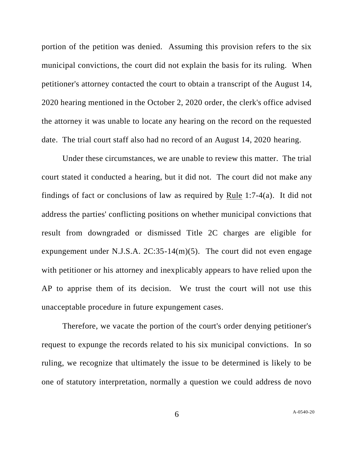portion of the petition was denied. Assuming this provision refers to the six municipal convictions, the court did not explain the basis for its ruling. When petitioner's attorney contacted the court to obtain a transcript of the August 14, 2020 hearing mentioned in the October 2, 2020 order, the clerk's office advised the attorney it was unable to locate any hearing on the record on the requested date. The trial court staff also had no record of an August 14, 2020 hearing.

Under these circumstances, we are unable to review this matter. The trial court stated it conducted a hearing, but it did not. The court did not make any findings of fact or conclusions of law as required by Rule 1:7-4(a). It did not address the parties' conflicting positions on whether municipal convictions that result from downgraded or dismissed Title 2C charges are eligible for expungement under N.J.S.A.  $2C:35-14(m)(5)$ . The court did not even engage with petitioner or his attorney and inexplicably appears to have relied upon the AP to apprise them of its decision. We trust the court will not use this unacceptable procedure in future expungement cases.

Therefore, we vacate the portion of the court's order denying petitioner's request to expunge the records related to his six municipal convictions. In so ruling, we recognize that ultimately the issue to be determined is likely to be one of statutory interpretation, normally a question we could address de novo